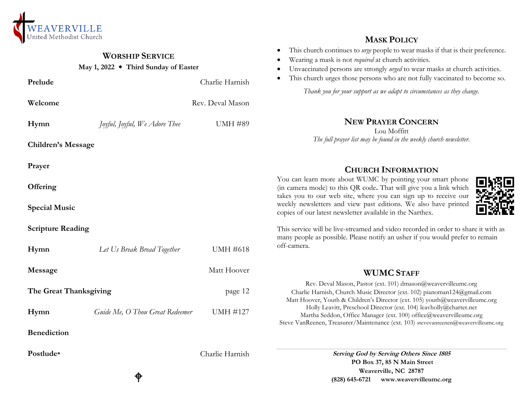

#### **WORSHIP SERVICE May 1, 2022 Third Sunday of Easter Prelude** Charlie Harnish **Welcome** Rev. Deval Mason **Hymn** *Joyful, Joyful, We Adore Thee* UMH #89 **Children's Message Prayer Offering Special Music Scripture Reading Hymn** *Let Us Break Bread Together* UMH #618 **Message** Matt Hoover **The Great Thanksgiving** page 12 **Hymn** *Guide Me, O Thou Great Redeemer* UMH #127 **Benediction Postlude\*** Charlie Harnish **MASK POLICY** This church continues to *urge* people to wear masks if that is their preference. Wearing a mask is not *required* at church activities. Unvaccinated persons are strongly *urged* to wear masks at church activities. This church urges those persons who are not fully vaccinated to become so. *Thank you for your support as we adapt to circumstances as they change.* **NEW PRAYER CONCERN** Lou Moffitt *The full prayer list may be found in the weekly church newsletter.* **CHURCH INFORMATION** You can learn more about WUMC by pointing your smart phone (in camera mode) to this QR code**.** That will give you a link which takes you to our web site, where you can sign up to receive our weekly newsletters and view past editions. We also have printed copies of our latest newsletter available in the Narthex. This service will be live-streamed and video recorded in order to share it with as many people as possible. Please notify an usher if you would prefer to remain off-camera. **WUMC STAFF**  Rev. Deval Mason, Pastor (ext. 101) dmason@weavervilleumc.org Charlie Harnish, Church Music Director (ext. 102) pianoman124@gmail.com Matt Hoover, Youth & Children's Director (ext. 105) youth@weavervilleumc.org Holly Leavitt, Preschool Director (ext. 104) leavholly@charter.net Martha Seddon, Office Manager (ext. 100) office@weavervilleumc.org Steve VanReenen, Treasurer/Maintenance (ext. 103) stevevanreenen@weavervilleumc.org **Serving God by Serving Others Since 1805 PO Box 37, 85 N Main Street**

# ♦

**Weaverville, NC 28787 (828) 645-6721 [www.weavervilleumc.org](http://www.weavervilleumc.org/)**